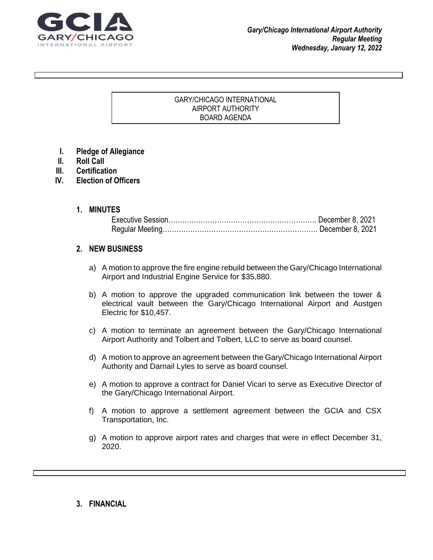

#### GARY/CHICAGO INTERNATIONAL AIRPORT AUTHORITY BOARD AGENDA

 $\Gamma$  grad your reader to attention with a great  $\sigma$  great  $\sigma$  and  $\sigma$  use this space to emphasize and  $\sigma$ 

key point. To place the place this text box anywhere on the page, just drag it. It is the page, just drag it.

- **I. Pledge of Allegiance**
- **II. Roll Call**
- **III. Certification**
- **IV. Election of Officers**

### **1. MINUTES**

### **2. NEW BUSINESS**

- a) A motion to approve the fire engine rebuild between the Gary/Chicago International Airport and Industrial Engine Service for \$35,880.
- b) A motion to approve the upgraded communication link between the tower & electrical vault between the Gary/Chicago International Airport and Austgen Electric for \$10,457.
- c) A motion to terminate an agreement between the Gary/Chicago International Airport Authority and Tolbert and Tolbert, LLC to serve as board counsel.
- d) A motion to approve an agreement between the Gary/Chicago International Airport Authority and Darnail Lyles to serve as board counsel.
- e) A motion to approve a contract for Daniel Vicari to serve as Executive Director of the Gary/Chicago International Airport.
- f) A motion to approve a settlement agreement between the GCIA and CSX Transportation, Inc.
- g) A motion to approve airport rates and charges that were in effect December 31, 2020.

#### **3. FINANCIAL**